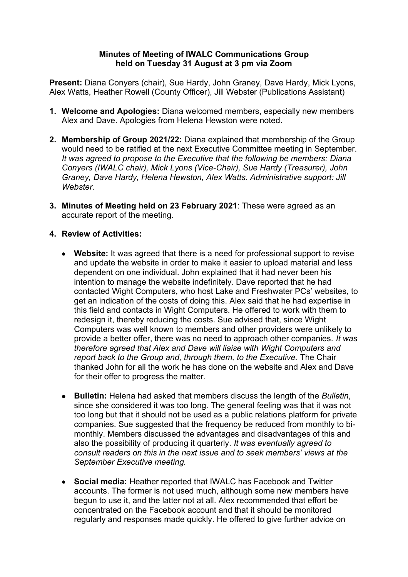## **Minutes of Meeting of IWALC Communications Group held on Tuesday 31 August at 3 pm via Zoom**

**Present:** Diana Conyers (chair), Sue Hardy, John Graney, Dave Hardy, Mick Lyons, Alex Watts, Heather Rowell (County Officer), Jill Webster (Publications Assistant)

- **1. Welcome and Apologies:** Diana welcomed members, especially new members Alex and Dave. Apologies from Helena Hewston were noted.
- **2. Membership of Group 2021/22:** Diana explained that membership of the Group would need to be ratified at the next Executive Committee meeting in September. *It was agreed to propose to the Executive that the following be members: Diana Conyers (IWALC chair), Mick Lyons (Vice-Chair), Sue Hardy (Treasurer), John Graney, Dave Hardy, Helena Hewston, Alex Watts. Administrative support: Jill Webster.*
- **3. Minutes of Meeting held on 23 February 2021**: These were agreed as an accurate report of the meeting.

## **4. Review of Activities:**

- **Website:** It was agreed that there is a need for professional support to revise and update the website in order to make it easier to upload material and less dependent on one individual. John explained that it had never been his intention to manage the website indefinitely. Dave reported that he had contacted Wight Computers, who host Lake and Freshwater PCs' websites, to get an indication of the costs of doing this. Alex said that he had expertise in this field and contacts in Wight Computers. He offered to work with them to redesign it, thereby reducing the costs. Sue advised that, since Wight Computers was well known to members and other providers were unlikely to provide a better offer, there was no need to approach other companies. *It was therefore agreed that Alex and Dave will liaise with Wight Computers and report back to the Group and, through them, to the Executive.* The Chair thanked John for all the work he has done on the website and Alex and Dave for their offer to progress the matter.
- **Bulletin:** Helena had asked that members discuss the length of the *Bulletin*, since she considered it was too long. The general feeling was that it was not too long but that it should not be used as a public relations platform for private companies. Sue suggested that the frequency be reduced from monthly to bimonthly. Members discussed the advantages and disadvantages of this and also the possibility of producing it quarterly. *It was eventually agreed to consult readers on this in the next issue and to seek members' views at the September Executive meeting.*
- **Social media:** Heather reported that IWALC has Facebook and Twitter accounts. The former is not used much, although some new members have begun to use it, and the latter not at all. Alex recommended that effort be concentrated on the Facebook account and that it should be monitored regularly and responses made quickly. He offered to give further advice on